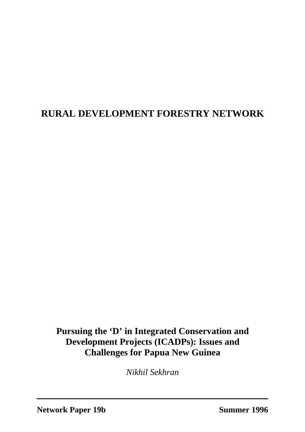# **RURAL DEVELOPMENT FORESTRY NETWORK**

**Pursuing the 'D' in Integrated Conservation and Development Projects (ICADPs): Issues and Challenges for Papua New Guinea**

*Nikhil Sekhran*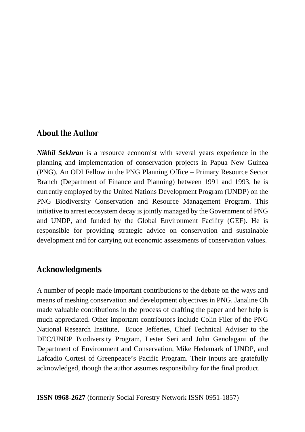#### **About the Author**

*Nikhil Sekhran* is a resource economist with several years experience in the planning and implementation of conservation projects in Papua New Guinea (PNG). An ODI Fellow in the PNG Planning Office – Primary Resource Sector Branch (Department of Finance and Planning) between 1991 and 1993, he is currently employed by the United Nations Development Program (UNDP) on the PNG Biodiversity Conservation and Resource Management Program. This initiative to arrest ecosystem decay is jointly managed by the Government of PNG and UNDP, and funded by the Global Environment Facility (GEF). He is responsible for providing strategic advice on conservation and sustainable development and for carrying out economic assessments of conservation values.

#### **Acknowledgments**

A number of people made important contributions to the debate on the ways and means of meshing conservation and development objectives in PNG. Janaline Oh made valuable contributions in the process of drafting the paper and her help is much appreciated. Other important contributors include Colin Filer of the PNG National Research Institute, Bruce Jefferies, Chief Technical Adviser to the DEC/UNDP Biodiversity Program, Lester Seri and John Genolagani of the Department of Environment and Conservation, Mike Hedemark of UNDP, and Lafcadio Cortesi of Greenpeace's Pacific Program. Their inputs are gratefully acknowledged, though the author assumes responsibility for the final product.

**ISSN 0968-2627** (formerly Social Forestry Network ISSN 0951-1857)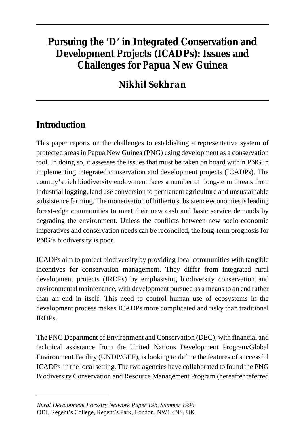# **Pursuing the 'D' in Integrated Conservation and Development Projects (ICADPs): Issues and Challenges for Papua New Guinea**

# *Nikhil Sekhran*

# **Introduction**

This paper reports on the challenges to establishing a representative system of protected areas in Papua New Guinea (PNG) using development as a conservation tool. In doing so, it assesses the issues that must be taken on board within PNG in implementing integrated conservation and development projects (ICADPs). The country's rich biodiversity endowment faces a number of long-term threats from industrial logging, land use conversion to permanent agriculture and unsustainable subsistence farming. The monetisation of hitherto subsistence economies is leading forest-edge communities to meet their new cash and basic service demands by degrading the environment. Unless the conflicts between new socio-economic imperatives and conservation needs can be reconciled, the long-term prognosis for PNG's biodiversity is poor.

ICADPs aim to protect biodiversity by providing local communities with tangible incentives for conservation management. They differ from integrated rural development projects (IRDPs) by emphasising biodiversity conservation and environmental maintenance, with development pursued as a means to an end rather than an end in itself. This need to control human use of ecosystems in the development process makes ICADPs more complicated and risky than traditional IRDPs.

The PNG Department of Environment and Conservation (DEC), with financial and technical assistance from the United Nations Development Program/Global Environment Facility (UNDP/GEF), is looking to define the features of successful ICADPs in the local setting. The two agencies have collaborated to found the PNG Biodiversity Conservation and Resource Management Program (hereafter referred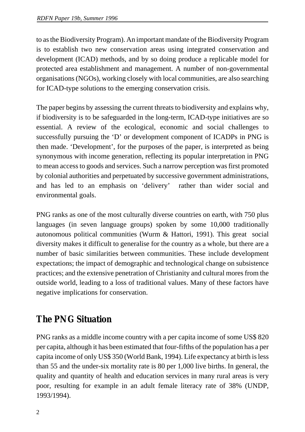to as the Biodiversity Program). An important mandate of the Biodiversity Program is to establish two new conservation areas using integrated conservation and development (ICAD) methods, and by so doing produce a replicable model for protected area establishment and management. A number of non-governmental organisations (NGOs), working closely with local communities, are also searching for ICAD-type solutions to the emerging conservation crisis.

The paper begins by assessing the current threats to biodiversity and explains why, if biodiversity is to be safeguarded in the long-term, ICAD-type initiatives are so essential. A review of the ecological, economic and social challenges to successfully pursuing the 'D' or development component of ICADPs in PNG is then made. 'Development', for the purposes of the paper, is interpreted as being synonymous with income generation, reflecting its popular interpretation in PNG to mean access to goods and services. Such a narrow perception was first promoted by colonial authorities and perpetuated by successive government administrations, and has led to an emphasis on 'delivery' rather than wider social and environmental goals.

PNG ranks as one of the most culturally diverse countries on earth, with 750 plus languages (in seven language groups) spoken by some 10,000 traditionally autonomous political communities (Wurm & Hattori, 1991). This great social diversity makes it difficult to generalise for the country as a whole, but there are a number of basic similarities between communities. These include development expectations; the impact of demographic and technological change on subsistence practices; and the extensive penetration of Christianity and cultural mores from the outside world, leading to a loss of traditional values. Many of these factors have negative implications for conservation.

## **The PNG Situation**

PNG ranks as a middle income country with a per capita income of some US\$ 820 per capita, although it has been estimated that four-fifths of the population has a per capita income of only US\$ 350 (World Bank, 1994). Life expectancy at birth is less than 55 and the under-six mortality rate is 80 per 1,000 live births. In general, the quality and quantity of health and education services in many rural areas is very poor, resulting for example in an adult female literacy rate of 38% (UNDP, 1993/1994).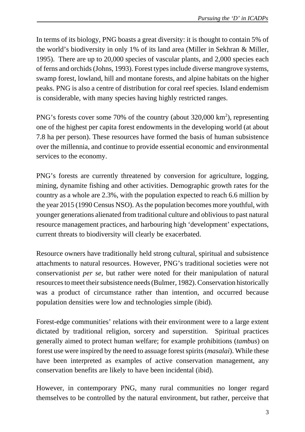In terms of its biology, PNG boasts a great diversity: it is thought to contain 5% of the world's biodiversity in only 1% of its land area (Miller in Sekhran & Miller, 1995). There are up to 20,000 species of vascular plants, and 2,000 species each of ferns and orchids (Johns, 1993). Forest types include diverse mangrove systems, swamp forest, lowland, hill and montane forests, and alpine habitats on the higher peaks. PNG is also a centre of distribution for coral reef species. Island endemism is considerable, with many species having highly restricted ranges.

PNG's forests cover some 70% of the country (about 320,000 km<sup>2</sup>), representing one of the highest per capita forest endowments in the developing world (at about 7.8 ha per person). These resources have formed the basis of human subsistence over the millennia, and continue to provide essential economic and environmental services to the economy.

PNG's forests are currently threatened by conversion for agriculture, logging, mining, dynamite fishing and other activities. Demographic growth rates for the country as a whole are 2.3%, with the population expected to reach 6.6 million by the year 2015 (1990 Census NSO). As the population becomes more youthful, with younger generations alienated from traditional culture and oblivious to past natural resource management practices, and harbouring high 'development' expectations, current threats to biodiversity will clearly be exacerbated.

Resource owners have traditionally held strong cultural, spiritual and subsistence attachments to natural resources. However, PNG's traditional societies were not conservationist *per se*, but rather were noted for their manipulation of natural resources to meet their subsistence needs (Bulmer, 1982). Conservation historically was a product of circumstance rather than intention, and occurred because population densities were low and technologies simple (ibid).

Forest-edge communities' relations with their environment were to a large extent dictated by traditional religion, sorcery and superstition. Spiritual practices generally aimed to protect human welfare; for example prohibitions (*tambus*) on forest use were inspired by the need to assuage forest spirits (*masalai*). While these have been interpreted as examples of active conservation management, any conservation benefits are likely to have been incidental (ibid).

However, in contemporary PNG, many rural communities no longer regard themselves to be controlled by the natural environment, but rather, perceive that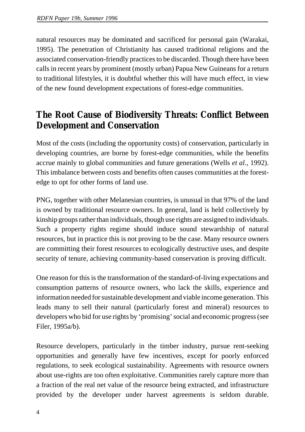natural resources may be dominated and sacrificed for personal gain (Warakai, 1995). The penetration of Christianity has caused traditional religions and the associated conservation-friendly practices to be discarded. Though there have been calls in recent years by prominent (mostly urban) Papua New Guineans for a return to traditional lifestyles, it is doubtful whether this will have much effect, in view of the new found development expectations of forest-edge communities.

## **The Root Cause of Biodiversity Threats: Conflict Between Development and Conservation**

Most of the costs (including the opportunity costs) of conservation, particularly in developing countries, are borne by forest-edge communities, while the benefits accrue mainly to global communities and future generations (Wells *et al.*, 1992). This imbalance between costs and benefits often causes communities at the forestedge to opt for other forms of land use.

PNG, together with other Melanesian countries, is unusual in that 97% of the land is owned by traditional resource owners. In general, land is held collectively by kinship groups rather than individuals, though use rights are assigned to individuals. Such a property rights regime should induce sound stewardship of natural resources, but in practice this is not proving to be the case. Many resource owners are committing their forest resources to ecologically destructive uses, and despite security of tenure, achieving community-based conservation is proving difficult.

One reason for this is the transformation of the standard-of-living expectations and consumption patterns of resource owners, who lack the skills, experience and information needed for sustainable development and viable income generation. This leads many to sell their natural (particularly forest and mineral) resources to developers who bid for use rights by 'promising' social and economic progress (see Filer, 1995a/b).

Resource developers, particularly in the timber industry, pursue rent-seeking opportunities and generally have few incentives, except for poorly enforced regulations, to seek ecological sustainability. Agreements with resource owners about use-rights are too often exploitative. Communities rarely capture more than a fraction of the real net value of the resource being extracted, and infrastructure provided by the developer under harvest agreements is seldom durable.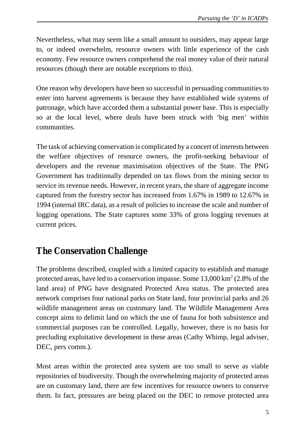Nevertheless, what may seem like a small amount to outsiders, may appear large to, or indeed overwhelm, resource owners with little experience of the cash economy. Few resource owners comprehend the real money value of their natural resources (though there are notable exceptions to this).

One reason why developers have been so successful in persuading communities to enter into harvest agreements is because they have established wide systems of patronage, which have accorded them a substantial power base. This is especially so at the local level, where deals have been struck with 'big men' within communities.

The task of achieving conservation is complicated by a concert of interests between the welfare objectives of resource owners, the profit-seeking behaviour of developers and the revenue maximisation objectives of the State. The PNG Government has traditionally depended on tax flows from the mining sector to service its revenue needs. However, in recent years, the share of aggregate income captured from the forestry sector has increased from 1.67% in 1989 to 12.67% in 1994 (internal IRC data), as a result of policies to increase the scale and number of logging operations. The State captures some 33% of gross logging revenues at current prices.

## **The Conservation Challenge**

The problems described, coupled with a limited capacity to establish and manage protected areas, have led to a conservation impasse. Some  $13,000 \mathrm{~km}^2$  (2.8% of the land area) of PNG have designated Protected Area status. The protected area network comprises four national parks on State land, four provincial parks and 26 wildlife management areas on customary land. The Wildlife Management Area concept aims to delimit land on which the use of fauna for both subsistence and commercial purposes can be controlled. Legally, however, there is no basis for precluding exploitative development in these areas (Cathy Whimp, legal adviser, DEC, pers comm.).

Most areas within the protected area system are too small to serve as viable repositories of biodiversity. Though the overwhelming majority of protected areas are on customary land, there are few incentives for resource owners to conserve them. In fact, pressures are being placed on the DEC to remove protected area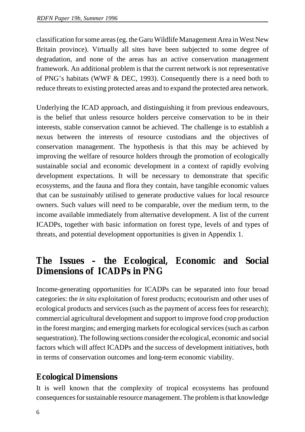classification for some areas (eg. the Garu Wildlife Management Area in West New Britain province). Virtually all sites have been subjected to some degree of degradation, and none of the areas has an active conservation management framework. An additional problem is that the current network is not representative of PNG's habitats (WWF & DEC, 1993). Consequently there is a need both to reduce threats to existing protected areas and to expand the protected area network.

Underlying the ICAD approach, and distinguishing it from previous endeavours, is the belief that unless resource holders perceive conservation to be in their interests, stable conservation cannot be achieved. The challenge is to establish a nexus between the interests of resource custodians and the objectives of conservation management. The hypothesis is that this may be achieved by improving the welfare of resource holders through the promotion of ecologically sustainable social and economic development in a context of rapidly evolving development expectations. It will be necessary to demonstrate that specific ecosystems, and the fauna and flora they contain, have tangible economic values that can be *sustainably* utilised to generate productive values for local resource owners. Such values will need to be comparable, over the medium term, to the income available immediately from alternative development. A list of the current ICADPs, together with basic information on forest type, levels of and types of threats, and potential development opportunities is given in Appendix 1.

## **The Issues – the Ecological, Economic and Social Dimensions of ICADPs in PNG**

Income-generating opportunities for ICADPs can be separated into four broad categories: the *in situ* exploitation of forest products; ecotourism and other uses of ecological products and services (such as the payment of access fees for research); commercial agricultural development and support to improve food crop production in the forest margins; and emerging markets for ecological services (such as carbon sequestration). The following sections consider the ecological, economic and social factors which will affect ICADPs and the success of development initiatives, both in terms of conservation outcomes and long-term economic viability.

#### **Ecological Dimensions**

It is well known that the complexity of tropical ecosystems has profound consequences for sustainable resource management. The problem is that knowledge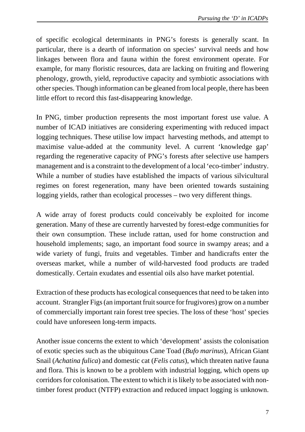of specific ecological determinants in PNG's forests is generally scant. In particular, there is a dearth of information on species' survival needs and how linkages between flora and fauna within the forest environment operate. For example, for many floristic resources, data are lacking on fruiting and flowering phenology, growth, yield, reproductive capacity and symbiotic associations with other species. Though information can be gleaned from local people, there has been little effort to record this fast-disappearing knowledge.

In PNG, timber production represents the most important forest use value. A number of ICAD initiatives are considering experimenting with reduced impact logging techniques. These utilise low impact harvesting methods, and attempt to maximise value-added at the community level. A current 'knowledge gap' regarding the regenerative capacity of PNG's forests after selective use hampers management and is a constraint to the development of a local 'eco-timber' industry. While a number of studies have established the impacts of various silvicultural regimes on forest regeneration, many have been oriented towards sustaining logging yields, rather than ecological processes – two very different things.

A wide array of forest products could conceivably be exploited for income generation. Many of these are currently harvested by forest-edge communities for their own consumption. These include rattan, used for home construction and household implements; sago, an important food source in swampy areas; and a wide variety of fungi, fruits and vegetables. Timber and handicrafts enter the overseas market, while a number of wild-harvested food products are traded domestically. Certain exudates and essential oils also have market potential.

Extraction of these products has ecological consequences that need to be taken into account. Strangler Figs (an important fruit source for frugivores) grow on a number of commercially important rain forest tree species. The loss of these 'host' species could have unforeseen long-term impacts.

Another issue concerns the extent to which 'development' assists the colonisation of exotic species such as the ubiquitous Cane Toad (*Bufo marinus*), African Giant Snail (*Achatina fulica*) and domestic cat (*Felis catus*), which threaten native fauna and flora. This is known to be a problem with industrial logging, which opens up corridors for colonisation. The extent to which it is likely to be associated with nontimber forest product (NTFP) extraction and reduced impact logging is unknown.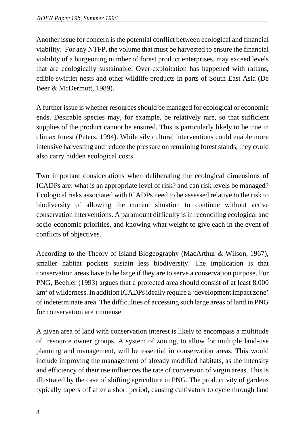Another issue for concern is the potential conflict between ecological and financial viability. For any NTFP, the volume that must be harvested to ensure the financial viability of a burgeoning number of forest product enterprises, may exceed levels that are ecologically sustainable. Over-exploitation has happened with rattans, edible swiftlet nests and other wildlife products in parts of South-East Asia (De Beer & McDermott, 1989).

A further issue is whether resources should be managed for ecological or economic ends. Desirable species may, for example, be relatively rare, so that sufficient supplies of the product cannot be ensured. This is particularly likely to be true in climax forest (Peters, 1994). While silvicultural interventions could enable more intensive harvesting and reduce the pressure on remaining forest stands, they could also carry hidden ecological costs.

Two important considerations when deliberating the ecological dimensions of ICADPs are: what is an appropriate level of risk? and can risk levels be managed? Ecological risks associated with ICADPs need to be assessed relative to the risk to biodiversity of allowing the current situation to continue without active conservation interventions. A paramount difficulty is in reconciling ecological and socio-economic priorities, and knowing what weight to give each in the event of conflicts of objectives.

According to the Theory of Island Biogeography (MacArthur & Wilson, 1967), smaller habitat pockets sustain less biodiversity. The implication is that conservation areas have to be large if they are to serve a conservation purpose. For PNG, Beehler (1993) argues that a protected area should consist of at least 8,000 km<sup>2</sup> of wilderness. In addition ICADPs ideally require a 'development impact zone' of indeterminate area. The difficulties of accessing such large areas of land in PNG for conservation are immense.

A given area of land with conservation interest is likely to encompass a multitude of resource owner groups. A system of zoning, to allow for multiple land-use planning and management, will be essential in conservation areas. This would include improving the management of already modified habitats, as the intensity and efficiency of their use influences the rate of conversion of virgin areas. This is illustrated by the case of shifting agriculture in PNG. The productivity of gardens typically tapers off after a short period, causing cultivators to cycle through land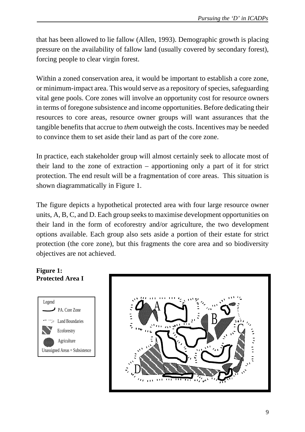that has been allowed to lie fallow (Allen, 1993). Demographic growth is placing pressure on the availability of fallow land (usually covered by secondary forest), forcing people to clear virgin forest.

Within a zoned conservation area, it would be important to establish a core zone, or minimum-impact area. This would serve as a repository of species, safeguarding vital gene pools. Core zones will involve an opportunity cost for resource owners in terms of foregone subsistence and income opportunities. Before dedicating their resources to core areas, resource owner groups will want assurances that the tangible benefits that accrue to *them* outweigh the costs. Incentives may be needed to convince them to set aside their land as part of the core zone.

In practice, each stakeholder group will almost certainly seek to allocate most of their land to the zone of extraction – apportioning only a part of it for strict protection. The end result will be a fragmentation of core areas. This situation is shown diagrammatically in Figure 1.

The figure depicts a hypothetical protected area with four large resource owner units, A, B, C, and D. Each group seeks to maximise development opportunities on their land in the form of ecoforestry and/or agriculture, the two development options available. Each group also sets aside a portion of their estate for strict protection (the core zone), but this fragments the core area and so biodiversity objectives are not achieved.

#### **Figure 1: Protected Area I**



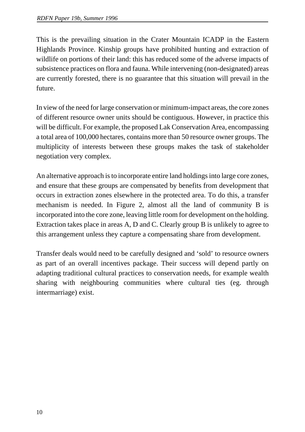This is the prevailing situation in the Crater Mountain ICADP in the Eastern Highlands Province. Kinship groups have prohibited hunting and extraction of wildlife on portions of their land: this has reduced some of the adverse impacts of subsistence practices on flora and fauna. While intervening (non-designated) areas are currently forested, there is no guarantee that this situation will prevail in the future.

In view of the need for large conservation or minimum-impact areas, the core zones of different resource owner units should be contiguous. However, in practice this will be difficult. For example, the proposed Lak Conservation Area, encompassing a total area of 100,000 hectares, contains more than 50 resource owner groups. The multiplicity of interests between these groups makes the task of stakeholder negotiation very complex.

An alternative approach is to incorporate entire land holdings into large core zones, and ensure that these groups are compensated by benefits from development that occurs in extraction zones elsewhere in the protected area. To do this, a transfer mechanism is needed. In Figure 2, almost all the land of community B is incorporated into the core zone, leaving little room for development on the holding. Extraction takes place in areas A, D and C. Clearly group B is unlikely to agree to this arrangement unless they capture a compensating share from development.

Transfer deals would need to be carefully designed and 'sold' to resource owners as part of an overall incentives package. Their success will depend partly on adapting traditional cultural practices to conservation needs, for example wealth sharing with neighbouring communities where cultural ties (eg. through intermarriage) exist.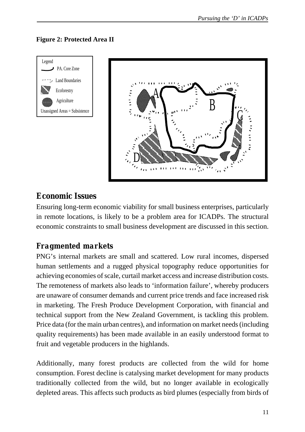#### **Figure 2: Protected Area II**





### **Economic Issues**

Ensuring long-term economic viability for small business enterprises, particularly in remote locations, is likely to be a problem area for ICADPs. The structural economic constraints to small business development are discussed in this section.

### *Fragmented markets*

PNG's internal markets are small and scattered. Low rural incomes, dispersed human settlements and a rugged physical topography reduce opportunities for achieving economies of scale, curtail market access and increase distribution costs. The remoteness of markets also leads to 'information failure', whereby producers are unaware of consumer demands and current price trends and face increased risk in marketing. The Fresh Produce Development Corporation, with financial and technical support from the New Zealand Government, is tackling this problem. Price data (for the main urban centres), and information on market needs (including quality requirements) has been made available in an easily understood format to fruit and vegetable producers in the highlands.

Additionally, many forest products are collected from the wild for home consumption. Forest decline is catalysing market development for many products traditionally collected from the wild, but no longer available in ecologically depleted areas. This affects such products as bird plumes (especially from birds of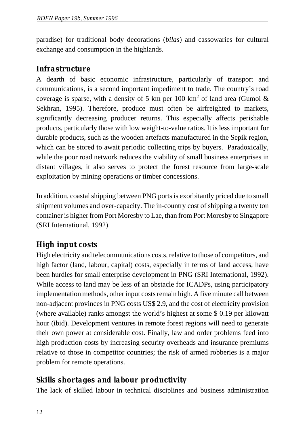paradise) for traditional body decorations (*bilas*) and cassowaries for cultural exchange and consumption in the highlands.

#### *Infrastructure*

A dearth of basic economic infrastructure, particularly of transport and communications, is a second important impediment to trade. The country's road coverage is sparse, with a density of 5 km per 100 km<sup>2</sup> of land area (Gumoi & Sekhran, 1995). Therefore, produce must often be airfreighted to markets, significantly decreasing producer returns. This especially affects perishable products, particularly those with low weight-to-value ratios. It is less important for durable products, such as the wooden artefacts manufactured in the Sepik region, which can be stored to await periodic collecting trips by buyers. Paradoxically, while the poor road network reduces the viability of small business enterprises in distant villages, it also serves to protect the forest resource from large-scale exploitation by mining operations or timber concessions.

In addition, coastal shipping between PNG ports is exorbitantly priced due to small shipment volumes and over-capacity. The in-country cost of shipping a twenty ton container is higher from Port Moresby to Lae, than from Port Moresby to Singapore (SRI International, 1992).

### *High input costs*

High electricity and telecommunications costs, relative to those of competitors, and high factor (land, labour, capital) costs, especially in terms of land access, have been hurdles for small enterprise development in PNG (SRI International, 1992). While access to land may be less of an obstacle for ICADPs, using participatory implementation methods, other input costs remain high. A five minute call between non-adjacent provinces in PNG costs US\$ 2.9, and the cost of electricity provision (where available) ranks amongst the world's highest at some \$ 0.19 per kilowatt hour (ibid). Development ventures in remote forest regions will need to generate their own power at considerable cost. Finally, law and order problems feed into high production costs by increasing security overheads and insurance premiums relative to those in competitor countries; the risk of armed robberies is a major problem for remote operations.

### *Skills shortages and labour productivity*

The lack of skilled labour in technical disciplines and business administration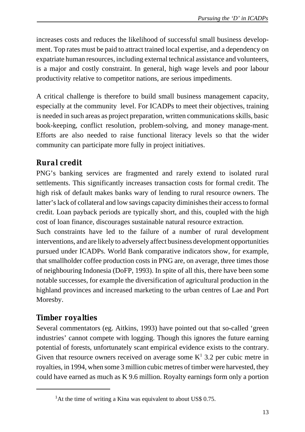increases costs and reduces the likelihood of successful small business development. Top rates must be paid to attract trained local expertise, and a dependency on expatriate human resources, including external technical assistance and volunteers, is a major and costly constraint. In general, high wage levels and poor labour productivity relative to competitor nations, are serious impediments.

A critical challenge is therefore to build small business management capacity, especially at the community level. For ICADPs to meet their objectives, training is needed in such areas as project preparation, written communications skills, basic book-keeping, conflict resolution, problem-solving, and money manage-ment. Efforts are also needed to raise functional literacy levels so that the wider community can participate more fully in project initiatives.

## *Rural credit*

PNG's banking services are fragmented and rarely extend to isolated rural settlements. This significantly increases transaction costs for formal credit. The high risk of default makes banks wary of lending to rural resource owners. The latter's lack of collateral and low savings capacity diminishes their access to formal credit. Loan payback periods are typically short, and this, coupled with the high cost of loan finance, discourages sustainable natural resource extraction.

Such constraints have led to the failure of a number of rural development interventions, and are likely to adversely affect business development opportunities pursued under ICADPs. World Bank comparative indicators show, for example, that smallholder coffee production costs in PNG are, on average, three times those of neighbouring Indonesia (DoFP, 1993). In spite of all this, there have been some notable successes, for example the diversification of agricultural production in the highland provinces and increased marketing to the urban centres of Lae and Port Moresby.

## *Timber royalties*

Several commentators (eg. Aitkins, 1993) have pointed out that so-called 'green industries' cannot compete with logging. Though this ignores the future earning potential of forests, unfortunately scant empirical evidence exists to the contrary. Given that resource owners received on average some  $K^1$  3.2 per cubic metre in royalties, in 1994, when some 3 million cubic metres of timber were harvested, they could have earned as much as K 9.6 million. Royalty earnings form only a portion

<sup>&</sup>lt;sup>1</sup>At the time of writing a Kina was equivalent to about US\$ 0.75.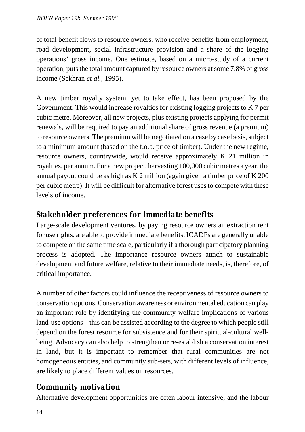of total benefit flows to resource owners, who receive benefits from employment, road development, social infrastructure provision and a share of the logging operations' gross income. One estimate, based on a micro-study of a current operation, puts the total amount captured by resource owners at some 7.8% of gross income (Sekhran *et al.*, 1995).

A new timber royalty system, yet to take effect, has been proposed by the Government. This would increase royalties for existing logging projects to K 7 per cubic metre. Moreover, all new projects, plus existing projects applying for permit renewals, will be required to pay an additional share of gross revenue (a premium) to resource owners. The premium will be negotiated on a case by case basis, subject to a minimum amount (based on the f.o.b. price of timber). Under the new regime, resource owners, countrywide, would receive approximately K 21 million in royalties, per annum. For a new project, harvesting 100,000 cubic metres a year, the annual payout could be as high as K 2 million (again given a timber price of K 200 per cubic metre). It will be difficult for alternative forest uses to compete with these levels of income.

### *Stakeholder preferences for immediate benefits*

Large-scale development ventures, by paying resource owners an extraction rent for use rights, are able to provide immediate benefits. ICADPs are generally unable to compete on the same time scale, particularly if a thorough participatory planning process is adopted. The importance resource owners attach to sustainable development and future welfare, relative to their immediate needs, is, therefore, of critical importance.

A number of other factors could influence the receptiveness of resource owners to conservation options. Conservation awareness or environmental education can play an important role by identifying the community welfare implications of various land-use options – this can be assisted according to the degree to which people still depend on the forest resource for subsistence and for their spiritual-cultural wellbeing. Advocacy can also help to strengthen or re-establish a conservation interest in land, but it is important to remember that rural communities are not homogeneous entities, and community sub-sets, with different levels of influence, are likely to place different values on resources.

### *Community motivation*

Alternative development opportunities are often labour intensive, and the labour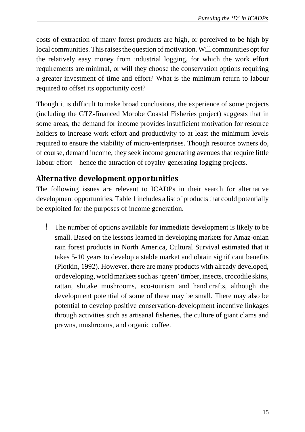costs of extraction of many forest products are high, or perceived to be high by local communities. This raises the question of motivation. Will communities opt for the relatively easy money from industrial logging, for which the work effort requirements are minimal, or will they choose the conservation options requiring a greater investment of time and effort? What is the minimum return to labour required to offset its opportunity cost?

Though it is difficult to make broad conclusions, the experience of some projects (including the GTZ-financed Morobe Coastal Fisheries project) suggests that in some areas, the demand for income provides insufficient motivation for resource holders to increase work effort and productivity to at least the minimum levels required to ensure the viability of micro-enterprises. Though resource owners do, of course, demand income, they seek income generating avenues that require little labour effort – hence the attraction of royalty-generating logging projects.

#### *Alternative development opportunities*

The following issues are relevant to ICADPs in their search for alternative development opportunities. Table 1 includes a list of products that could potentially be exploited for the purposes of income generation.

 ! The number of options available for immediate development is likely to be small. Based on the lessons learned in developing markets for Amaz-onian rain forest products in North America, Cultural Survival estimated that it takes 5-10 years to develop a stable market and obtain significant benefits (Plotkin, 1992). However, there are many products with already developed, or developing, world markets such as 'green' timber, insects, crocodile skins, rattan, shitake mushrooms, eco-tourism and handicrafts, although the development potential of some of these may be small. There may also be potential to develop positive conservation-development incentive linkages through activities such as artisanal fisheries, the culture of giant clams and prawns, mushrooms, and organic coffee.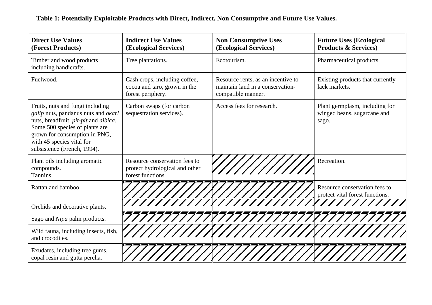| <b>Direct Use Values</b><br>(Forest Products)                                                                                                                                                                                                   | <b>Indirect Use Values</b><br>(Ecological Services)                                  | <b>Non Consumptive Uses</b><br>(Ecological Services)                                         | <b>Future Uses (Ecological</b><br><b>Products &amp; Services)</b>      |
|-------------------------------------------------------------------------------------------------------------------------------------------------------------------------------------------------------------------------------------------------|--------------------------------------------------------------------------------------|----------------------------------------------------------------------------------------------|------------------------------------------------------------------------|
| Timber and wood products<br>including handicrafts.                                                                                                                                                                                              | Tree plantations.                                                                    | Ecotourism.                                                                                  | Pharmaceutical products.                                               |
| Fuelwood.                                                                                                                                                                                                                                       | Cash crops, including coffee,<br>cocoa and taro, grown in the<br>forest periphery.   | Resource rents, as an incentive to<br>maintain land in a conservation-<br>compatible manner. | Existing products that currently<br>lack markets.                      |
| Fruits, nuts and fungi including<br>galip nuts, pandanus nuts and okari<br>nuts, breadfruit, pit-pit and aibica.<br>Some 500 species of plants are<br>grown for consumption in PNG,<br>with 45 species vital for<br>subsistence (French, 1994). | Carbon swaps (for carbon<br>sequestration services).                                 | Access fees for research.                                                                    | Plant germplasm, including for<br>winged beans, sugarcane and<br>sago. |
| Plant oils including aromatic<br>compounds.<br>Tannins.                                                                                                                                                                                         | Resource conservation fees to<br>protect hydrological and other<br>forest functions. |                                                                                              | Recreation.                                                            |
| Rattan and bamboo.                                                                                                                                                                                                                              |                                                                                      |                                                                                              | Resource conservation fees to<br>protect vital forest functions.       |
| Orchids and decorative plants.                                                                                                                                                                                                                  |                                                                                      |                                                                                              |                                                                        |
| Sago and Nipa palm products.                                                                                                                                                                                                                    |                                                                                      |                                                                                              |                                                                        |
| Wild fauna, including insects, fish,<br>and crocodiles.                                                                                                                                                                                         |                                                                                      |                                                                                              |                                                                        |
| Exudates, including tree gums,<br>copal resin and gutta percha.                                                                                                                                                                                 |                                                                                      |                                                                                              |                                                                        |

**Table 1: Potentially Exploitable Products with Direct, Indirect, Non Consumptive and Future Use Values.**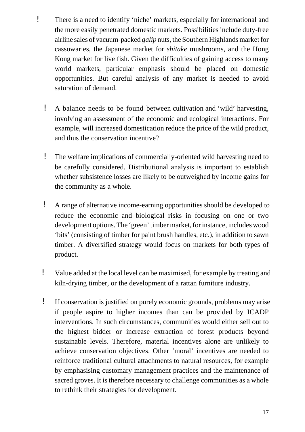- ! There is a need to identify 'niche' markets, especially for international and the more easily penetrated domestic markets. Possibilities include duty-free airline sales of vacuum-packed *galip* nuts, the Southern Highlands market for cassowaries, the Japanese market for *shitake* mushrooms, and the Hong Kong market for live fish. Given the difficulties of gaining access to many world markets, particular emphasis should be placed on domestic opportunities. But careful analysis of any market is needed to avoid saturation of demand.
	- ! A balance needs to be found between cultivation and 'wild' harvesting, involving an assessment of the economic and ecological interactions. For example, will increased domestication reduce the price of the wild product, and thus the conservation incentive?
	- ! The welfare implications of commercially-oriented wild harvesting need to be carefully considered. Distributional analysis is important to establish whether subsistence losses are likely to be outweighed by income gains for the community as a whole.
	- ! A range of alternative income-earning opportunities should be developed to reduce the economic and biological risks in focusing on one or two development options. The 'green' timber market, for instance, includes wood 'bits' (consisting of timber for paint brush handles, etc.), in addition to sawn timber. A diversified strategy would focus on markets for both types of product.
	- ! Value added at the local level can be maximised, for example by treating and kiln-drying timber, or the development of a rattan furniture industry.
	- ! If conservation is justified on purely economic grounds, problems may arise if people aspire to higher incomes than can be provided by ICADP interventions. In such circumstances, communities would either sell out to the highest bidder or increase extraction of forest products beyond sustainable levels. Therefore, material incentives alone are unlikely to achieve conservation objectives. Other 'moral' incentives are needed to reinforce traditional cultural attachments to natural resources, for example by emphasising customary management practices and the maintenance of sacred groves. It is therefore necessary to challenge communities as a whole to rethink their strategies for development.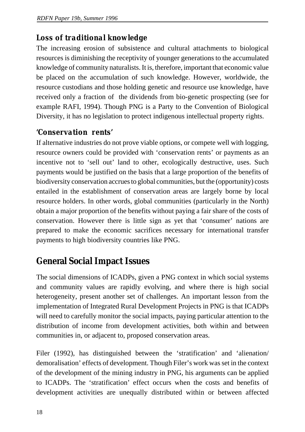#### *Loss of traditional knowledge*

The increasing erosion of subsistence and cultural attachments to biological resources is diminishing the receptivity of younger generations to the accumulated knowledge of community naturalists. It is, therefore, important that economic value be placed on the accumulation of such knowledge. However, worldwide, the resource custodians and those holding genetic and resource use knowledge, have received only a fraction of the dividends from bio-genetic prospecting (see for example RAFI, 1994). Though PNG is a Party to the Convention of Biological Diversity, it has no legislation to protect indigenous intellectual property rights.

#### *'Conservation rents'*

If alternative industries do not prove viable options, or compete well with logging, resource owners could be provided with 'conservation rents' or payments as an incentive not to 'sell out' land to other, ecologically destructive, uses. Such payments would be justified on the basis that a large proportion of the benefits of biodiversity conservation accrues to global communities, but the (opportunity) costs entailed in the establishment of conservation areas are largely borne by local resource holders. In other words, global communities (particularly in the North) obtain a major proportion of the benefits without paying a fair share of the costs of conservation. However there is little sign as yet that 'consumer' nations are prepared to make the economic sacrifices necessary for international transfer payments to high biodiversity countries like PNG.

## **General Social Impact Issues**

The social dimensions of ICADPs, given a PNG context in which social systems and community values are rapidly evolving, and where there is high social heterogeneity, present another set of challenges. An important lesson from the implementation of Integrated Rural Development Projects in PNG is that ICADPs will need to carefully monitor the social impacts, paying particular attention to the distribution of income from development activities, both within and between communities in, or adjacent to, proposed conservation areas.

Filer (1992), has distinguished between the 'stratification' and 'alienation/ demoralisation' effects of development. Though Filer's work was set in the context of the development of the mining industry in PNG, his arguments can be applied to ICADPs. The 'stratification' effect occurs when the costs and benefits of development activities are unequally distributed within or between affected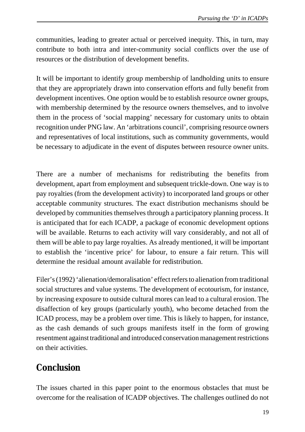communities, leading to greater actual or perceived inequity. This, in turn, may contribute to both intra and inter-community social conflicts over the use of resources or the distribution of development benefits.

It will be important to identify group membership of landholding units to ensure that they are appropriately drawn into conservation efforts and fully benefit from development incentives. One option would be to establish resource owner groups, with membership determined by the resource owners themselves, and to involve them in the process of 'social mapping' necessary for customary units to obtain recognition under PNG law. An 'arbitrations council', comprising resource owners and representatives of local institutions, such as community governments, would be necessary to adjudicate in the event of disputes between resource owner units.

There are a number of mechanisms for redistributing the benefits from development, apart from employment and subsequent trickle-down. One way is to pay royalties (from the development activity) to incorporated land groups or other acceptable community structures. The exact distribution mechanisms should be developed by communities themselves through a participatory planning process. It is anticipated that for each ICADP, a package of economic development options will be available. Returns to each activity will vary considerably, and not all of them will be able to pay large royalties. As already mentioned, it will be important to establish the 'incentive price' for labour, to ensure a fair return. This will determine the residual amount available for redistribution.

Filer's (1992) 'alienation/demoralisation' effect refers to alienation from traditional social structures and value systems. The development of ecotourism, for instance, by increasing exposure to outside cultural mores can lead to a cultural erosion. The disaffection of key groups (particularly youth), who become detached from the ICAD process, may be a problem over time. This is likely to happen, for instance, as the cash demands of such groups manifests itself in the form of growing resentment against traditional and introduced conservation management restrictions on their activities.

## **Conclusion**

The issues charted in this paper point to the enormous obstacles that must be overcome for the realisation of ICADP objectives. The challenges outlined do not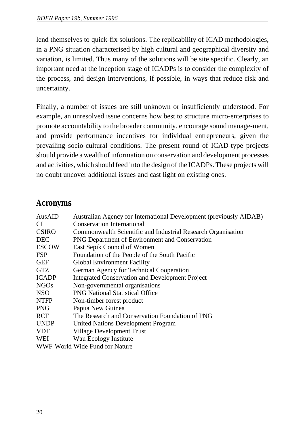lend themselves to quick-fix solutions. The replicability of ICAD methodologies, in a PNG situation characterised by high cultural and geographical diversity and variation, is limited. Thus many of the solutions will be site specific. Clearly, an important need at the inception stage of ICADPs is to consider the complexity of the process, and design interventions, if possible, in ways that reduce risk and uncertainty.

Finally, a number of issues are still unknown or insufficiently understood. For example, an unresolved issue concerns how best to structure micro-enterprises to promote accountability to the broader community, encourage sound manage-ment, and provide performance incentives for individual entrepreneurs, given the prevailing socio-cultural conditions. The present round of ICAD-type projects should provide a wealth of information on conservation and development processes and activities, which should feed into the design of the ICADPs. These projects will no doubt uncover additional issues and cast light on existing ones.

## **Acronyms**

| AusAID       | Australian Agency for International Development (previously AIDAB) |
|--------------|--------------------------------------------------------------------|
| <b>CI</b>    | <b>Conservation International</b>                                  |
| <b>CSIRO</b> | Commonwealth Scientific and Industrial Research Organisation       |
| <b>DEC</b>   | PNG Department of Environment and Conservation                     |
| <b>ESCOW</b> | East Sepik Council of Women                                        |
| <b>FSP</b>   | Foundation of the People of the South Pacific                      |
| <b>GEF</b>   | <b>Global Environment Facility</b>                                 |
| <b>GTZ</b>   | German Agency for Technical Cooperation                            |
| <b>ICADP</b> | <b>Integrated Conservation and Development Project</b>             |
| <b>NGOs</b>  | Non-governmental organisations                                     |
| <b>NSO</b>   | <b>PNG National Statistical Office</b>                             |
| <b>NTFP</b>  | Non-timber forest product                                          |
| <b>PNG</b>   | Papua New Guinea                                                   |
| <b>RCF</b>   | The Research and Conservation Foundation of PNG                    |
| <b>UNDP</b>  | <b>United Nations Development Program</b>                          |
| <b>VDT</b>   | Village Development Trust                                          |
| WEI          | Wau Ecology Institute                                              |
|              | WWF World Wide Fund for Nature                                     |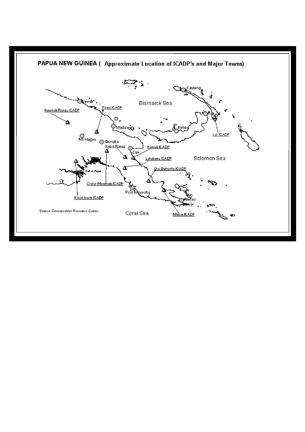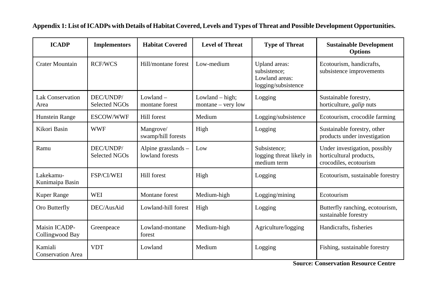| <b>ICADP</b>                        | <b>Implementors</b>               | <b>Habitat Covered</b>                 | <b>Level of Threat</b>                    | <b>Type of Threat</b>                                                  | <b>Sustainable Development</b><br><b>Options</b>                                   |
|-------------------------------------|-----------------------------------|----------------------------------------|-------------------------------------------|------------------------------------------------------------------------|------------------------------------------------------------------------------------|
| <b>Crater Mountain</b>              | <b>RCF/WCS</b>                    | Hill/montane forest                    | Low-medium                                | Upland areas:<br>subsistence;<br>Lowland areas:<br>logging/subsistence | Ecotourism, handicrafts,<br>subsistence improvements                               |
| <b>Lak Conservation</b><br>Area     | DEC/UNDP/<br><b>Selected NGOs</b> | $Lowland -$<br>montane forest          | Lowland $-$ high;<br>$montane - very low$ | Logging                                                                | Sustainable forestry,<br>horticulture, <i>galip</i> nuts                           |
| Hunstein Range                      | ESCOW/WWF                         | Hill forest                            | Medium                                    | Logging/subsistence                                                    | Ecotourism, crocodile farming                                                      |
| Kikori Basin                        | <b>WWF</b>                        | Mangrove/<br>swamp/hill forests        | High                                      | Logging                                                                | Sustainable forestry, other<br>products under investigation                        |
| Ramu                                | DEC/UNDP/<br><b>Selected NGOs</b> | Alpine grasslands -<br>lowland forests | Low                                       | Subsistence;<br>logging threat likely in<br>medium term                | Under investigation, possibly<br>horticultural products,<br>crocodiles, ecotourism |
| Lakekamu-<br>Kunimaipa Basin        | FSP/CI/WEI                        | Hill forest                            | High                                      | Logging                                                                | Ecotourism, sustainable forestry                                                   |
| <b>Kuper Range</b>                  | <b>WEI</b>                        | Montane forest                         | Medium-high                               | Logging/mining                                                         | Ecotourism                                                                         |
| Oro Butterfly                       | DEC/AusAid                        | Lowland-hill forest                    | High                                      | Logging                                                                | Butterfly ranching, ecotourism,<br>sustainable forestry                            |
| Maisin ICADP-<br>Collingwood Bay    | Greenpeace                        | Lowland-montane<br>forest              | Medium-high                               | Agriculture/logging                                                    | Handicrafts, fisheries                                                             |
| Kamiali<br><b>Conservation Area</b> | <b>VDT</b>                        | Lowland                                | Medium                                    | Logging                                                                | Fishing, sustainable forestry                                                      |

#### **Appendix 1: List of ICADPs with Details of Habitat Covered, Levels and Types of Threat and Possible Development Opportunities.**

**Source: Conservation Resource Centre**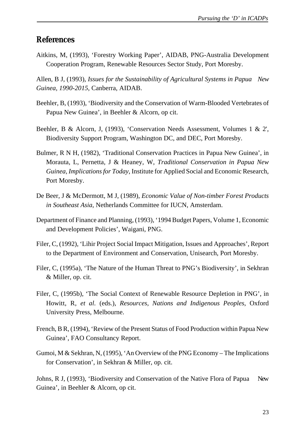#### **References**

Aitkins, M, (1993), 'Forestry Working Paper', AIDAB, PNG-Australia Development Cooperation Program, Renewable Resources Sector Study, Port Moresby.

Allen, B J, (1993), *Issues for the Sustainability of Agricultural Systems in Papua New Guinea, 1990-2015*, Canberra, AIDAB.

- Beehler, B, (1993), 'Biodiversity and the Conservation of Warm-Blooded Vertebrates of Papua New Guinea', in Beehler & Alcorn, op cit.
- Beehler, B & Alcorn, J, (1993), 'Conservation Needs Assessment, Volumes 1 & 2', Biodiversity Support Program, Washington DC, and DEC, Port Moresby.
- Bulmer, R N H, (1982), 'Traditional Conservation Practices in Papua New Guinea', in Morauta, L, Pernetta, J & Heaney, W, *Traditional Conservation in Papua New Guinea, Implications for Today*, Institute for Applied Social and Economic Research, Port Moresby.
- De Beer, J & McDermott, M J, (1989), *Economic Value of Non-timber Forest Products in Southeast Asia*, Netherlands Committee for IUCN, Amsterdam.
- Department of Finance and Planning, (1993), '1994 Budget Papers, Volume 1, Economic and Development Policies', Waigani, PNG.
- Filer, C, (1992), 'Lihir Project Social Impact Mitigation, Issues and Approaches', Report to the Department of Environment and Conservation, Unisearch, Port Moresby.
- Filer, C, (1995a), 'The Nature of the Human Threat to PNG's Biodiversity', in Sekhran & Miller, op. cit.
- Filer, C, (1995b), 'The Social Context of Renewable Resource Depletion in PNG', in Howitt, R, *et al.* (eds.), *Resources, Nations and Indigenous Peoples*, Oxford University Press, Melbourne.
- French, B R, (1994), 'Review of the Present Status of Food Production within Papua New Guinea', FAO Consultancy Report.
- Gumoi, M & Sekhran, N, (1995), 'An Overview of the PNG Economy The Implications for Conservation', in Sekhran & Miller, op. cit.

Johns, R J, (1993), 'Biodiversity and Conservation of the Native Flora of Papua New Guinea', in Beehler & Alcorn, op cit.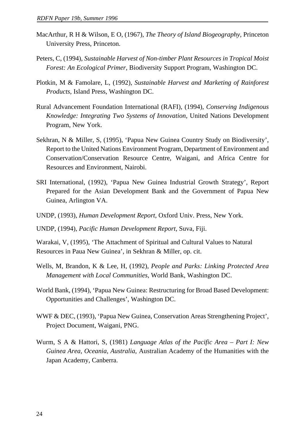- MacArthur, R H & Wilson, E O, (1967), *The Theory of Island Biogeography*, Princeton University Press, Princeton.
- Peters, C, (1994), *Sustainable Harvest of Non-timber Plant Resources in Tropical Moist Forest: An Ecological Primer*, Biodiversity Support Program, Washington DC.
- Plotkin, M & Famolare, L, (1992), *Sustainable Harvest and Marketing of Rainforest Products*, Island Press, Washington DC.
- Rural Advancement Foundation International (RAFI), (1994), *Conserving Indigenous Knowledge: Integrating Two Systems of Innovation*, United Nations Development Program, New York.
- Sekhran, N & Miller, S, (1995), 'Papua New Guinea Country Study on Biodiversity', Report to the United Nations Environment Program, Department of Environment and Conservation/Conservation Resource Centre, Waigani, and Africa Centre for Resources and Environment, Nairobi.
- SRI International, (1992), 'Papua New Guinea Industrial Growth Strategy', Report Prepared for the Asian Development Bank and the Government of Papua New Guinea, Arlington VA.
- UNDP, (1993), *Human Development Report*, Oxford Univ. Press, New York.

UNDP, (1994), *Pacific Human Development Report*, Suva, Fiji.

Warakai, V, (1995), 'The Attachment of Spiritual and Cultural Values to Natural Resources in Paua New Guinea', in Sekhran & Miller, op. cit.

- Wells, M, Brandon, K & Lee, H, (1992), *People and Parks: Linking Protected Area Management with Local Communities*, World Bank, Washington DC.
- World Bank, (1994), 'Papua New Guinea: Restructuring for Broad Based Development: Opportunities and Challenges', Washington DC.
- WWF & DEC, (1993), 'Papua New Guinea, Conservation Areas Strengthening Project', Project Document, Waigani, PNG.
- Wurm, S A & Hattori, S, (1981) *Language Atlas of the Pacific Area Part I: New Guinea Area, Oceania, Australia*, Australian Academy of the Humanities with the Japan Academy, Canberra.